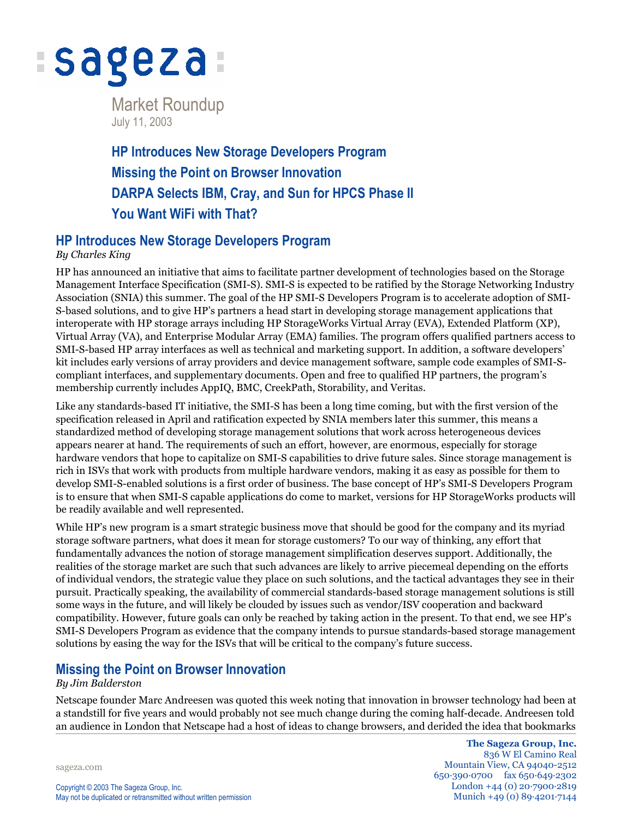

Market Roundup July 11, 2003

**HP Introduces New Storage Developers Program Missing the Point on Browser Innovation DARPA Selects IBM, Cray, and Sun for HPCS Phase II You Want WiFi with That?**

### **HP Introduces New Storage Developers Program**

### *By Charles King*

HP has announced an initiative that aims to facilitate partner development of technologies based on the Storage Management Interface Specification (SMI-S). SMI-S is expected to be ratified by the Storage Networking Industry Association (SNIA) this summer. The goal of the HP SMI-S Developers Program is to accelerate adoption of SMI-S-based solutions, and to give HP's partners a head start in developing storage management applications that interoperate with HP storage arrays including HP StorageWorks Virtual Array (EVA), Extended Platform (XP), Virtual Array (VA), and Enterprise Modular Array (EMA) families. The program offers qualified partners access to SMI-S-based HP array interfaces as well as technical and marketing support. In addition, a software developers' kit includes early versions of array providers and device management software, sample code examples of SMI-Scompliant interfaces, and supplementary documents. Open and free to qualified HP partners, the program's membership currently includes AppIQ, BMC, CreekPath, Storability, and Veritas.

Like any standards-based IT initiative, the SMI-S has been a long time coming, but with the first version of the specification released in April and ratification expected by SNIA members later this summer, this means a standardized method of developing storage management solutions that work across heterogeneous devices appears nearer at hand. The requirements of such an effort, however, are enormous, especially for storage hardware vendors that hope to capitalize on SMI-S capabilities to drive future sales. Since storage management is rich in ISVs that work with products from multiple hardware vendors, making it as easy as possible for them to develop SMI-S-enabled solutions is a first order of business. The base concept of HP's SMI-S Developers Program is to ensure that when SMI-S capable applications do come to market, versions for HP StorageWorks products will be readily available and well represented.

While HP's new program is a smart strategic business move that should be good for the company and its myriad storage software partners, what does it mean for storage customers? To our way of thinking, any effort that fundamentally advances the notion of storage management simplification deserves support. Additionally, the realities of the storage market are such that such advances are likely to arrive piecemeal depending on the efforts of individual vendors, the strategic value they place on such solutions, and the tactical advantages they see in their pursuit. Practically speaking, the availability of commercial standards-based storage management solutions is still some ways in the future, and will likely be clouded by issues such as vendor/ISV cooperation and backward compatibility. However, future goals can only be reached by taking action in the present. To that end, we see HP's SMI-S Developers Program as evidence that the company intends to pursue standards-based storage management solutions by easing the way for the ISVs that will be critical to the company's future success.

# **Missing the Point on Browser Innovation**

#### *By Jim Balderston*

Netscape founder Marc Andreesen was quoted this week noting that innovation in browser technology had been at a standstill for five years and would probably not see much change during the coming half-decade. Andreesen told an audience in London that Netscape had a host of ideas to change browsers, and derided the idea that bookmarks

sageza.com

**The Sageza Group, Inc.** 836 W El Camino Real Mountain View, CA 94040-2512 650·390·0700 fax 650·649·2302 London +44 (0) 20·7900·2819 Munich +49 (0) 89·4201·7144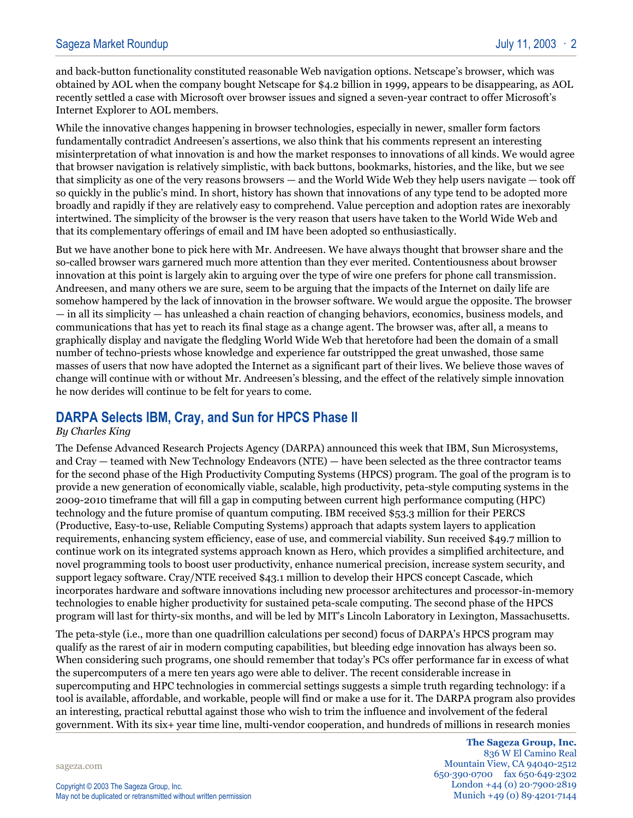and back-button functionality constituted reasonable Web navigation options. Netscape's browser, which was obtained by AOL when the company bought Netscape for \$4.2 billion in 1999, appears to be disappearing, as AOL recently settled a case with Microsoft over browser issues and signed a seven-year contract to offer Microsoft's Internet Explorer to AOL members.

While the innovative changes happening in browser technologies, especially in newer, smaller form factors fundamentally contradict Andreesen's assertions, we also think that his comments represent an interesting misinterpretation of what innovation is and how the market responses to innovations of all kinds. We would agree that browser navigation is relatively simplistic, with back buttons, bookmarks, histories, and the like, but we see that simplicity as one of the very reasons browsers — and the World Wide Web they help users navigate — took off so quickly in the public's mind. In short, history has shown that innovations of any type tend to be adopted more broadly and rapidly if they are relatively easy to comprehend. Value perception and adoption rates are inexorably intertwined. The simplicity of the browser is the very reason that users have taken to the World Wide Web and that its complementary offerings of email and IM have been adopted so enthusiastically.

But we have another bone to pick here with Mr. Andreesen. We have always thought that browser share and the so-called browser wars garnered much more attention than they ever merited. Contentiousness about browser innovation at this point is largely akin to arguing over the type of wire one prefers for phone call transmission. Andreesen, and many others we are sure, seem to be arguing that the impacts of the Internet on daily life are somehow hampered by the lack of innovation in the browser software. We would argue the opposite. The browser — in all its simplicity — has unleashed a chain reaction of changing behaviors, economics, business models, and communications that has yet to reach its final stage as a change agent. The browser was, after all, a means to graphically display and navigate the fledgling World Wide Web that heretofore had been the domain of a small number of techno-priests whose knowledge and experience far outstripped the great unwashed, those same masses of users that now have adopted the Internet as a significant part of their lives. We believe those waves of change will continue with or without Mr. Andreesen's blessing, and the effect of the relatively simple innovation he now derides will continue to be felt for years to come.

# **DARPA Selects IBM, Cray, and Sun for HPCS Phase II**

#### *By Charles King*

The Defense Advanced Research Projects Agency (DARPA) announced this week that IBM, Sun Microsystems, and Cray — teamed with New Technology Endeavors (NTE) — have been selected as the three contractor teams for the second phase of the High Productivity Computing Systems (HPCS) program. The goal of the program is to provide a new generation of economically viable, scalable, high productivity, peta-style computing systems in the 2009-2010 timeframe that will fill a gap in computing between current high performance computing (HPC) technology and the future promise of quantum computing. IBM received \$53.3 million for their PERCS (Productive, Easy-to-use, Reliable Computing Systems) approach that adapts system layers to application requirements, enhancing system efficiency, ease of use, and commercial viability. Sun received \$49.7 million to continue work on its integrated systems approach known as Hero, which provides a simplified architecture, and novel programming tools to boost user productivity, enhance numerical precision, increase system security, and support legacy software. Cray/NTE received \$43.1 million to develop their HPCS concept Cascade, which incorporates hardware and software innovations including new processor architectures and processor-in-memory technologies to enable higher productivity for sustained peta-scale computing. The second phase of the HPCS program will last for thirty-six months, and will be led by MIT's Lincoln Laboratory in Lexington, Massachusetts.

The peta-style (i.e., more than one quadrillion calculations per second) focus of DARPA's HPCS program may qualify as the rarest of air in modern computing capabilities, but bleeding edge innovation has always been so. When considering such programs, one should remember that today's PCs offer performance far in excess of what the supercomputers of a mere ten years ago were able to deliver. The recent considerable increase in supercomputing and HPC technologies in commercial settings suggests a simple truth regarding technology: if a tool is available, affordable, and workable, people will find or make a use for it. The DARPA program also provides an interesting, practical rebuttal against those who wish to trim the influence and involvement of the federal government. With its six+ year time line, multi-vendor cooperation, and hundreds of millions in research monies

sageza.com

**The Sageza Group, Inc.** 836 W El Camino Real Mountain View, CA 94040-2512 650·390·0700 fax 650·649·2302 London +44 (0) 20·7900·2819 Munich +49 (0) 89·4201·7144